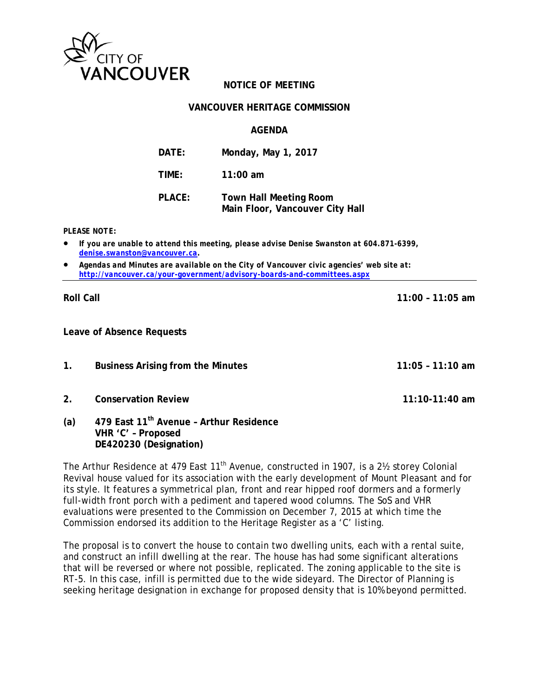

# **NOTICE OF MEETING**

#### **VANCOUVER HERITAGE COMMISSION**

**AGENDA** 

**DATE: Monday, May 1, 2017 TIME: 11:00 am PLACE: Town Hall Meeting Room Main Floor, Vancouver City Hall** 

*PLEASE NOTE:* 

- *If you are unable to attend this meeting, please advise Denise Swanston at 604.871-6399, denise.swanston@vancouver.ca.*
- *Agendas and Minutes are available on the City of Vancouver civic agencies' web site at: http://vancouver.ca/your-government/advisory-boards-and-committees.aspx*

**Roll Call 11:00 – 11:05 am** 

**Leave of Absence Requests** 

- **1. Business Arising from the Minutes 11:05 11:10 am**
- **2. Conservation Review 11:10-11:40 am**
- **(a) 479 East 11th Avenue Arthur Residence VHR 'C' – Proposed DE420230 (Designation)**

The Arthur Residence at 479 East  $11<sup>th</sup>$  Avenue, constructed in 1907, is a 2<sup>1</sup>/<sub>2</sub> storey Colonial Revival house valued for its association with the early development of Mount Pleasant and for its style. It features a symmetrical plan, front and rear hipped roof dormers and a formerly full-width front porch with a pediment and tapered wood columns. The SoS and VHR evaluations were presented to the Commission on December 7, 2015 at which time the Commission endorsed its addition to the Heritage Register as a 'C' listing.

The proposal is to convert the house to contain two dwelling units, each with a rental suite, and construct an infill dwelling at the rear. The house has had some significant alterations that will be reversed or where not possible, replicated. The zoning applicable to the site is RT-5. In this case, infill is permitted due to the wide sideyard. The Director of Planning is seeking heritage designation in exchange for proposed density that is 10% beyond permitted.